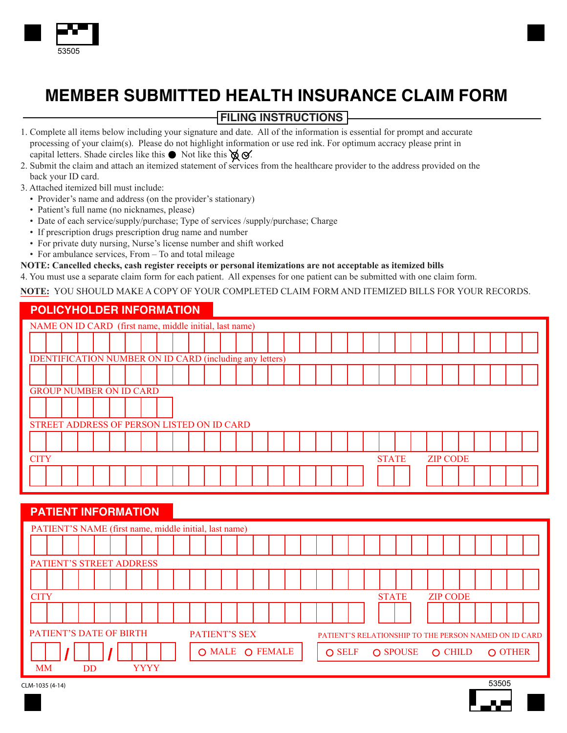

# **MEMBER SUBMITTED HEALTH INSURANCE CLAIM FORM**

# **FILING INSTRUCTIONS**

- 1. Complete all items below including your signature and date. All of the information is essential for prompt and accurate processing of your claim(s). Please do not highlight information or use red ink. For optimum accracy please print in capital letters. Shade circles like this  $\bullet$  Not like this  $\otimes \bullet$ .
- 2. Submit the claim and attach an itemized statement of services from the healthcare provider to the address provided on the back your ID card.
- 3. Attached itemized bill must include:
	- Provider's name and address (on the provider's stationary)
	- Patient's full name (no nicknames, please)
	- Date of each service/supply/purchase; Type of services /supply/purchase; Charge
	- If prescription drugs prescription drug name and number
	- For private duty nursing, Nurse's license number and shift worked
	- For ambulance services, From To and total mileage

#### **NOTE: Cancelled checks, cash register receipts or personal itemizations are not acceptable as itemized bills**

4. You must use a separate claim form for each patient. All expenses for one patient can be submitted with one claim form.

#### **NOTE:** YOU SHOULD MAKE A COPY OF YOUR COMPLETED CLAIM FORM AND ITEMIZED BILLS FOR YOUR RECORDS.

## **POLICYHOLDER INFORMATION**

|                                            | NAME ON ID CARD (first name, middle initial, last name)         |  |  |  |  |  |  |  |  |  |  |  |  |  |  |  |  |  |  |  |  |  |
|--------------------------------------------|-----------------------------------------------------------------|--|--|--|--|--|--|--|--|--|--|--|--|--|--|--|--|--|--|--|--|--|
|                                            |                                                                 |  |  |  |  |  |  |  |  |  |  |  |  |  |  |  |  |  |  |  |  |  |
|                                            | <b>IDENTIFICATION NUMBER ON ID CARD (including any letters)</b> |  |  |  |  |  |  |  |  |  |  |  |  |  |  |  |  |  |  |  |  |  |
|                                            |                                                                 |  |  |  |  |  |  |  |  |  |  |  |  |  |  |  |  |  |  |  |  |  |
|                                            | <b>GROUP NUMBER ON ID CARD</b>                                  |  |  |  |  |  |  |  |  |  |  |  |  |  |  |  |  |  |  |  |  |  |
|                                            |                                                                 |  |  |  |  |  |  |  |  |  |  |  |  |  |  |  |  |  |  |  |  |  |
| STREET ADDRESS OF PERSON LISTED ON ID CARD |                                                                 |  |  |  |  |  |  |  |  |  |  |  |  |  |  |  |  |  |  |  |  |  |
|                                            |                                                                 |  |  |  |  |  |  |  |  |  |  |  |  |  |  |  |  |  |  |  |  |  |
|                                            | <b>CITY</b><br><b>STATE</b><br><b>ZIP CODE</b>                  |  |  |  |  |  |  |  |  |  |  |  |  |  |  |  |  |  |  |  |  |  |
|                                            |                                                                 |  |  |  |  |  |  |  |  |  |  |  |  |  |  |  |  |  |  |  |  |  |

#### **PATIENT INFORMATION**

|             | PATIENT'S NAME (first name, middle initial, last name)                                                   |  |     |  |  |  |             |  |  |                                 |  |  |  |  |  |  |                                          |  |  |  |  |  |  |  |  |  |  |  |  |
|-------------|----------------------------------------------------------------------------------------------------------|--|-----|--|--|--|-------------|--|--|---------------------------------|--|--|--|--|--|--|------------------------------------------|--|--|--|--|--|--|--|--|--|--|--|--|
|             |                                                                                                          |  |     |  |  |  |             |  |  |                                 |  |  |  |  |  |  |                                          |  |  |  |  |  |  |  |  |  |  |  |  |
|             | PATIENT'S STREET ADDRESS                                                                                 |  |     |  |  |  |             |  |  |                                 |  |  |  |  |  |  |                                          |  |  |  |  |  |  |  |  |  |  |  |  |
|             |                                                                                                          |  |     |  |  |  |             |  |  |                                 |  |  |  |  |  |  |                                          |  |  |  |  |  |  |  |  |  |  |  |  |
| <b>CITY</b> |                                                                                                          |  |     |  |  |  |             |  |  | <b>STATE</b><br><b>ZIP CODE</b> |  |  |  |  |  |  |                                          |  |  |  |  |  |  |  |  |  |  |  |  |
|             |                                                                                                          |  |     |  |  |  |             |  |  |                                 |  |  |  |  |  |  |                                          |  |  |  |  |  |  |  |  |  |  |  |  |
|             | <b>PATIENT'S DATE OF BIRTH</b><br>PATIENT'S SEX<br>PATIENT'S RELATIONSHIP TO THE PERSON NAMED ON ID CARD |  |     |  |  |  |             |  |  |                                 |  |  |  |  |  |  |                                          |  |  |  |  |  |  |  |  |  |  |  |  |
|             |                                                                                                          |  |     |  |  |  |             |  |  | O MALE O FEMALE                 |  |  |  |  |  |  | O SELF<br>O OTHER<br>O SPOUSE<br>O CHILD |  |  |  |  |  |  |  |  |  |  |  |  |
| <b>MM</b>   |                                                                                                          |  | DD. |  |  |  | <b>YYYY</b> |  |  |                                 |  |  |  |  |  |  |                                          |  |  |  |  |  |  |  |  |  |  |  |  |